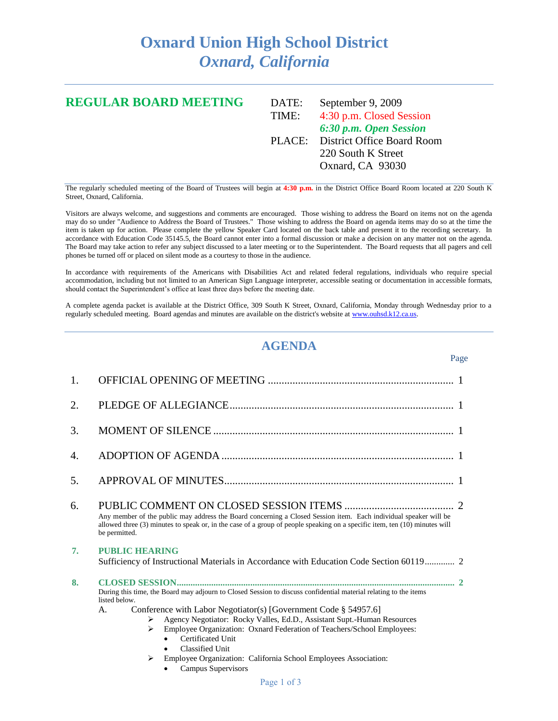## **Oxnard Union High School District** *Oxnard, California*

## **REGULAR BOARD MEETING** DATE: September 9, 2009 TIME: 4:30 p.m. Closed Session *6:30 p.m. Open Session* PLACE: District Office Board Room 220 South K Street Oxnard, CA 93030

The regularly scheduled meeting of the Board of Trustees will begin at **4:30 p.m.** in the District Office Board Room located at 220 South K Street, Oxnard, California.

Visitors are always welcome, and suggestions and comments are encouraged. Those wishing to address the Board on items not on the agenda may do so under "Audience to Address the Board of Trustees." Those wishing to address the Board on agenda items may do so at the time the item is taken up for action. Please complete the yellow Speaker Card located on the back table and present it to the recording secretary. In accordance with Education Code 35145.5, the Board cannot enter into a formal discussion or make a decision on any matter not on the agenda. The Board may take action to refer any subject discussed to a later meeting or to the Superintendent. The Board requests that all pagers and cell phones be turned off or placed on silent mode as a courtesy to those in the audience.

In accordance with requirements of the Americans with Disabilities Act and related federal regulations, individuals who require special accommodation, including but not limited to an American Sign Language interpreter, accessible seating or documentation in accessible formats, should contact the Superintendent's office at least three days before the meeting date.

A complete agenda packet is available at the District Office, 309 South K Street, Oxnard, California, Monday through Wednesday prior to a regularly scheduled meeting. Board agendas and minutes are available on the district's website a[t www.ouhsd.k12.ca.us.](http://www.ouhsd.k12.ca.us/)

## **AGENDA**

Page

| 1.               |                                                                                                                                                                                                                                                                                                                                                                                                                   |  |  |  |  |
|------------------|-------------------------------------------------------------------------------------------------------------------------------------------------------------------------------------------------------------------------------------------------------------------------------------------------------------------------------------------------------------------------------------------------------------------|--|--|--|--|
| 2.               |                                                                                                                                                                                                                                                                                                                                                                                                                   |  |  |  |  |
| 3.               |                                                                                                                                                                                                                                                                                                                                                                                                                   |  |  |  |  |
| $\overline{4}$ . |                                                                                                                                                                                                                                                                                                                                                                                                                   |  |  |  |  |
| .5.              |                                                                                                                                                                                                                                                                                                                                                                                                                   |  |  |  |  |
| 6.               | Any member of the public may address the Board concerning a Closed Session item. Each individual speaker will be<br>allowed three (3) minutes to speak or, in the case of a group of people speaking on a specific item, ten (10) minutes will<br>be permitted.                                                                                                                                                   |  |  |  |  |
| 7.               | <b>PUBLIC HEARING</b><br>Sufficiency of Instructional Materials in Accordance with Education Code Section 60119 2                                                                                                                                                                                                                                                                                                 |  |  |  |  |
| 8.               | During this time, the Board may adjourn to Closed Session to discuss confidential material relating to the items<br>listed below.<br>Conference with Labor Negotiator(s) [Government Code § 54957.6]<br>A.<br>Agency Negotiator: Rocky Valles, Ed.D., Assistant Supt.-Human Resources<br>➤<br>Employee Organization: Oxnard Federation of Teachers/School Employees:<br>➤<br>Certificated Unit<br>Classified Unit |  |  |  |  |
|                  | Employee Organization: California School Employees Association:<br>➤                                                                                                                                                                                                                                                                                                                                              |  |  |  |  |

Campus Supervisors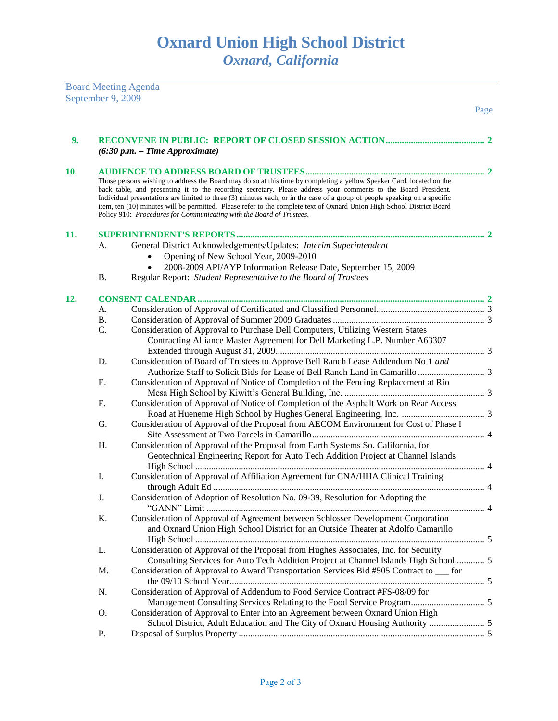| <b>Board Meeting Agenda</b> |
|-----------------------------|
| September 9, 2009           |

|     |           |                                                                                                                                                                                                                                                                                                                                                                                                                                                                                                                                                                         | Page |
|-----|-----------|-------------------------------------------------------------------------------------------------------------------------------------------------------------------------------------------------------------------------------------------------------------------------------------------------------------------------------------------------------------------------------------------------------------------------------------------------------------------------------------------------------------------------------------------------------------------------|------|
| 9.  |           | $(6:30 p.m. - Time Approximate)$                                                                                                                                                                                                                                                                                                                                                                                                                                                                                                                                        |      |
| 10. |           |                                                                                                                                                                                                                                                                                                                                                                                                                                                                                                                                                                         |      |
|     |           | Those persons wishing to address the Board may do so at this time by completing a yellow Speaker Card, located on the<br>back table, and presenting it to the recording secretary. Please address your comments to the Board President.<br>Individual presentations are limited to three (3) minutes each, or in the case of a group of people speaking on a specific<br>item, ten (10) minutes will be permitted. Please refer to the complete text of Oxnard Union High School District Board<br>Policy 910: Procedures for Communicating with the Board of Trustees. |      |
| 11. |           |                                                                                                                                                                                                                                                                                                                                                                                                                                                                                                                                                                         |      |
|     | А.        | General District Acknowledgements/Updates: Interim Superintendent<br>Opening of New School Year, 2009-2010<br>2008-2009 API/AYP Information Release Date, September 15, 2009                                                                                                                                                                                                                                                                                                                                                                                            |      |
|     | <b>B.</b> | Regular Report: Student Representative to the Board of Trustees                                                                                                                                                                                                                                                                                                                                                                                                                                                                                                         |      |
|     |           |                                                                                                                                                                                                                                                                                                                                                                                                                                                                                                                                                                         |      |
| 12. |           |                                                                                                                                                                                                                                                                                                                                                                                                                                                                                                                                                                         |      |
|     | А.        |                                                                                                                                                                                                                                                                                                                                                                                                                                                                                                                                                                         |      |
|     | <b>B.</b> |                                                                                                                                                                                                                                                                                                                                                                                                                                                                                                                                                                         |      |
|     | C.        | Consideration of Approval to Purchase Dell Computers, Utilizing Western States<br>Contracting Alliance Master Agreement for Dell Marketing L.P. Number A63307                                                                                                                                                                                                                                                                                                                                                                                                           |      |
|     | D.        | Consideration of Board of Trustees to Approve Bell Ranch Lease Addendum No 1 and                                                                                                                                                                                                                                                                                                                                                                                                                                                                                        |      |
|     | E.        | Consideration of Approval of Notice of Completion of the Fencing Replacement at Rio                                                                                                                                                                                                                                                                                                                                                                                                                                                                                     |      |
|     | F.        | Consideration of Approval of Notice of Completion of the Asphalt Work on Rear Access                                                                                                                                                                                                                                                                                                                                                                                                                                                                                    |      |
|     | G.        | Consideration of Approval of the Proposal from AECOM Environment for Cost of Phase I                                                                                                                                                                                                                                                                                                                                                                                                                                                                                    |      |
|     | Η.        | Consideration of Approval of the Proposal from Earth Systems So. California, for<br>Geotechnical Engineering Report for Auto Tech Addition Project at Channel Islands                                                                                                                                                                                                                                                                                                                                                                                                   |      |
|     | Ι.        | Consideration of Approval of Affiliation Agreement for CNA/HHA Clinical Training                                                                                                                                                                                                                                                                                                                                                                                                                                                                                        |      |
|     | J.        | Consideration of Adoption of Resolution No. 09-39, Resolution for Adopting the                                                                                                                                                                                                                                                                                                                                                                                                                                                                                          |      |
|     | K.        | Consideration of Approval of Agreement between Schlosser Development Corporation<br>and Oxnard Union High School District for an Outside Theater at Adolfo Camarillo                                                                                                                                                                                                                                                                                                                                                                                                    |      |
|     | L.        | Consideration of Approval of the Proposal from Hughes Associates, Inc. for Security<br>Consulting Services for Auto Tech Addition Project at Channel Islands High School  5                                                                                                                                                                                                                                                                                                                                                                                             |      |
|     | M.        | Consideration of Approval to Award Transportation Services Bid #505 Contract to ___ for                                                                                                                                                                                                                                                                                                                                                                                                                                                                                 |      |
|     | N.        | Consideration of Approval of Addendum to Food Service Contract #FS-08/09 for                                                                                                                                                                                                                                                                                                                                                                                                                                                                                            |      |
|     | О.        | Consideration of Approval to Enter into an Agreement between Oxnard Union High                                                                                                                                                                                                                                                                                                                                                                                                                                                                                          |      |
|     | Ρ.        |                                                                                                                                                                                                                                                                                                                                                                                                                                                                                                                                                                         |      |